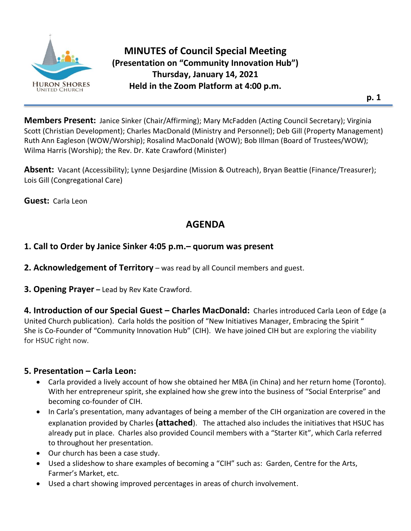

**Members Present:** Janice Sinker (Chair/Affirming); Mary McFadden (Acting Council Secretary); Virginia Scott (Christian Development); Charles MacDonald (Ministry and Personnel); Deb Gill (Property Management) Ruth Ann Eagleson (WOW/Worship); Rosalind MacDonald (WOW); Bob Illman (Board of Trustees/WOW); Wilma Harris (Worship); the Rev. Dr. Kate Crawford (Minister)

**Absent:** Vacant (Accessibility); Lynne Desjardine (Mission & Outreach), Bryan Beattie (Finance/Treasurer); Lois Gill (Congregational Care)

**Guest:** Carla Leon

# **AGENDA**

## **1. Call to Order by Janice Sinker 4:05 p.m.– quorum was present**

**2. Acknowledgement of Territory** – was read by all Council members and guest.

**3. Opening Prayer –** Lead by Rev Kate Crawford.

**4. Introduction of our Special Guest – Charles MacDonald:** Charles introduced Carla Leon of Edge (a United Church publication). Carla holds the position of "New Initiatives Manager, Embracing the Spirit " She is Co-Founder of "Community Innovation Hub" (CIH). We have joined CIH but are exploring the viability for HSUC right now.

## **5. Presentation – Carla Leon:**

- Carla provided a lively account of how she obtained her MBA (in China) and her return home (Toronto). With her entrepreneur spirit, she explained how she grew into the business of "Social Enterprise" and becoming co-founder of CIH.
- In Carla's presentation, many advantages of being a member of the CIH organization are covered in the explanation provided by Charles **(attached**). The attached also includes the initiatives that HSUC has already put in place. Charles also provided Council members with a "Starter Kit", which Carla referred to throughout her presentation.
- Our church has been a case study.
- Used a slideshow to share examples of becoming a "CIH" such as: Garden, Centre for the Arts, Farmer's Market, etc.
- Used a chart showing improved percentages in areas of church involvement.